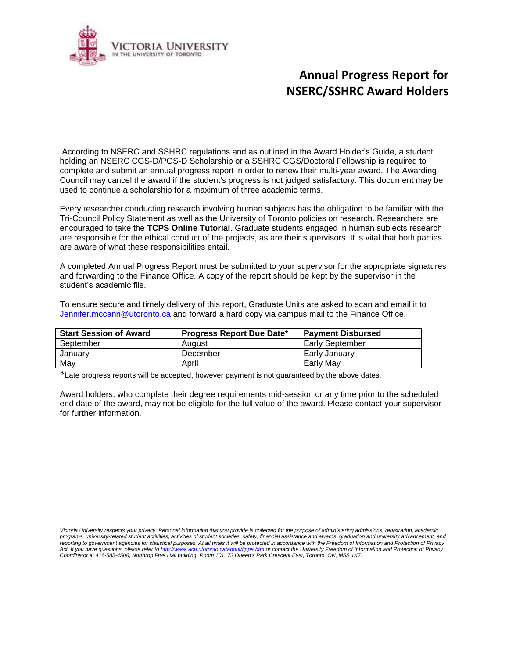

## **Annual Progress Report for NSERC/SSHRC Award Holders**

According to NSERC and SSHRC regulations and as outlined in the Award Holder's Guide, a student holding an NSERC CGS-D/PGS-D Scholarship or a SSHRC CGS/Doctoral Fellowship is required to complete and submit an annual progress report in order to renew their multi-year award. The Awarding Council may cancel the award if the student's progress is not judged satisfactory. This document may be used to continue a scholarship for a maximum of three academic terms.

Every researcher conducting research involving human subjects has the obligation to be familiar with the Tri-Council Policy Statement as well as the University of Toronto policies on research. Researchers are encouraged to take the **TCPS Online Tutorial**. Graduate students engaged in human subjects research are responsible for the ethical conduct of the projects, as are their supervisors. It is vital that both parties are aware of what these responsibilities entail.

A completed Annual Progress Report must be submitted to your supervisor for the appropriate signatures and forwarding to the Finance Office. A copy of the report should be kept by the supervisor in the student's academic file.

To ensure secure and timely delivery of this report, Graduate Units are asked to scan and email it to [Jennifer.mccann@utoronto.ca](mailto:Jennifer.mccann@utoronto.ca) and forward a hard copy via campus mail to the Finance Office.

| <b>Start Session of Award</b> | <b>Progress Report Due Date*</b> | <b>Payment Disbursed</b> |
|-------------------------------|----------------------------------|--------------------------|
| September                     | August                           | Early September          |
| January                       | December                         | Early January            |
| May                           | April                            | Early May                |

\*Late progress reports will be accepted, however payment is not guaranteed by the above dates.

Award holders, who complete their degree requirements mid-session or any time prior to the scheduled end date of the award, may not be eligible for the full value of the award. Please contact your supervisor for further information.

Victoria University respects your privacy. Personal information that you provide is collected for the purpose of administering admissions, registration, academic *programs, university-related student activities, activities of student societies, safety, financial assistance and awards, graduation and university advancement, and reporting to government agencies for statistical purposes. At all times it will be protected in accordance with the Freedom of Information and Protection of Privacy Act. If you have questions, please refer t[o http://www.vicu.utoronto.ca/about/fippa.htm](http://www.vicu.utoronto.ca/about/fippa.htm) or contact the University Freedom of Information and Protection of Privacy Coordinator at 416-585-4506, Northrop Frye Hall building, Room 101, 73 Queen's Park Crescent East, Toronto, ON, M5S 1K7.*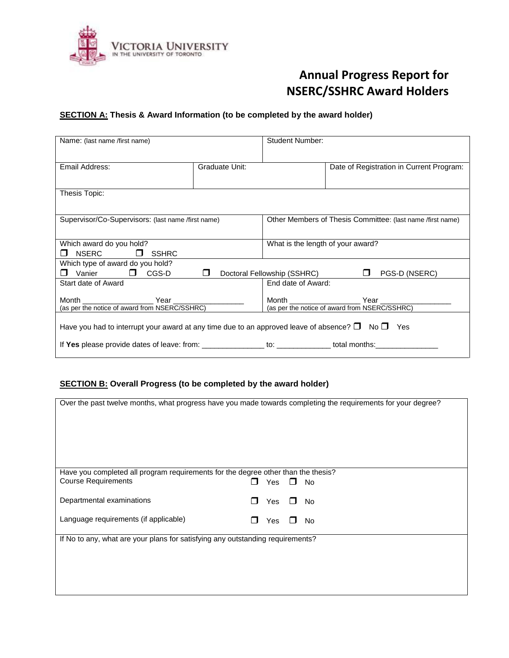

# **Annual Progress Report for NSERC/SSHRC Award Holders**

### **SECTION A: Thesis & Award Information (to be completed by the award holder)**

| Name: (last name /first name)                                                                                        |                | Student Number:                                                  |                                                            |  |  |
|----------------------------------------------------------------------------------------------------------------------|----------------|------------------------------------------------------------------|------------------------------------------------------------|--|--|
| Email Address:                                                                                                       | Graduate Unit: |                                                                  | Date of Registration in Current Program:                   |  |  |
| Thesis Topic:                                                                                                        |                |                                                                  |                                                            |  |  |
| Supervisor/Co-Supervisors: (last name /first name)                                                                   |                |                                                                  | Other Members of Thesis Committee: (last name /first name) |  |  |
|                                                                                                                      |                |                                                                  |                                                            |  |  |
| Which award do you hold?<br>$NSERC$ $\Box$<br><b>SSHRC</b>                                                           |                | What is the length of your award?                                |                                                            |  |  |
| Which type of award do you hold?<br>Vanier <b>D</b> CGS-D <b>D</b><br>Doctoral Fellowship (SSHRC) □<br>PGS-D (NSERC) |                |                                                                  |                                                            |  |  |
| Start date of Award                                                                                                  |                | End date of Award:                                               |                                                            |  |  |
| Month Year Year<br>(as per the notice of award from NSERC/SSHRC)                                                     |                | Month Year Year<br>(as per the notice of award from NSERC/SSHRC) |                                                            |  |  |
| Have you had to interrupt your award at any time due to an approved leave of absence? $\square$ No $\square$ Yes     |                |                                                                  |                                                            |  |  |
| If Yes please provide dates of leave: from: ________________to: ____________total months:                            |                |                                                                  |                                                            |  |  |

### **SECTION B: Overall Progress (to be completed by the award holder)**

| Over the past twelve months, what progress have you made towards completing the requirements for your degree? |   |            |              |           |
|---------------------------------------------------------------------------------------------------------------|---|------------|--------------|-----------|
|                                                                                                               |   |            |              |           |
|                                                                                                               |   |            |              |           |
|                                                                                                               |   |            |              |           |
|                                                                                                               |   |            |              |           |
|                                                                                                               |   |            |              |           |
|                                                                                                               |   |            |              |           |
|                                                                                                               |   |            |              |           |
|                                                                                                               |   |            |              |           |
|                                                                                                               |   |            |              |           |
|                                                                                                               |   |            |              |           |
| Have you completed all program requirements for the degree other than the thesis?                             |   |            |              |           |
|                                                                                                               |   |            |              |           |
| <b>Course Requirements</b>                                                                                    |   | <b>Yes</b> | П            | No        |
|                                                                                                               |   |            |              |           |
|                                                                                                               |   |            |              |           |
| Departmental examinations                                                                                     | H | Yes        | $\mathbf{I}$ | <b>No</b> |
|                                                                                                               |   |            |              |           |
|                                                                                                               |   |            |              |           |
| Language requirements (if applicable)                                                                         |   | Yes        | $\perp$      | No.       |
|                                                                                                               |   |            |              |           |
|                                                                                                               |   |            |              |           |
| If No to any, what are your plans for satisfying any outstanding requirements?                                |   |            |              |           |
|                                                                                                               |   |            |              |           |
|                                                                                                               |   |            |              |           |
|                                                                                                               |   |            |              |           |
|                                                                                                               |   |            |              |           |
|                                                                                                               |   |            |              |           |
|                                                                                                               |   |            |              |           |
|                                                                                                               |   |            |              |           |
|                                                                                                               |   |            |              |           |
|                                                                                                               |   |            |              |           |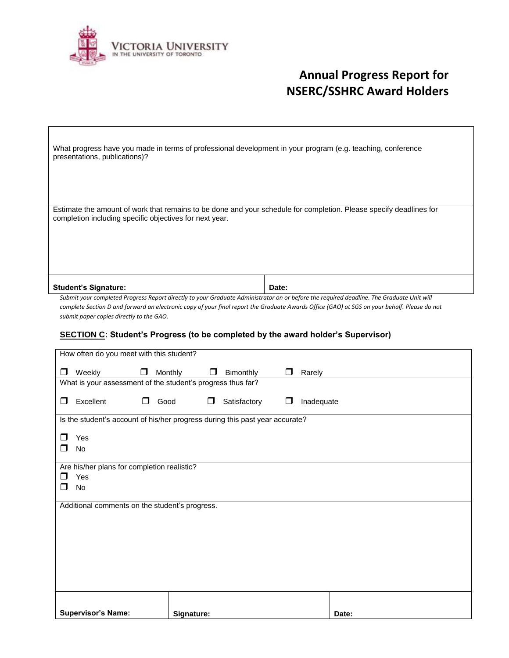

 $\sqrt{ }$ 

# **Annual Progress Report for NSERC/SSHRC Award Holders**

| What progress have you made in terms of professional development in your program (e.g. teaching, conference<br>presentations, publications)?                                     |  |  |  |  |
|----------------------------------------------------------------------------------------------------------------------------------------------------------------------------------|--|--|--|--|
|                                                                                                                                                                                  |  |  |  |  |
| Estimate the amount of work that remains to be done and your schedule for completion. Please specify deadlines for<br>completion including specific objectives for next year.    |  |  |  |  |
|                                                                                                                                                                                  |  |  |  |  |
|                                                                                                                                                                                  |  |  |  |  |
| <b>Student's Signature:</b><br>Date:<br>Cubmit your completed Drogress Danast directly to your Craduate Administrator on ar before the required deadline. The Craduate Unit will |  |  |  |  |

*Submit your completed Progress Report directly to your Graduate Administrator on or before the required deadline. The Graduate Unit will complete Section D and forward an electronic copy of your final report the Graduate Awards Office (GAO) at SGS on your behalf. Please do not submit paper copies directly to the GAO.*

#### **SECTION C: Student's Progress (to be completed by the award holder's Supervisor)**

| How often do you meet with this student?                                     |                |              |                      |       |
|------------------------------------------------------------------------------|----------------|--------------|----------------------|-------|
| $\Box$<br>Weekly<br>□                                                        | Monthly<br>□   | Bimonthly    | Rarely               |       |
| What is your assessment of the student's progress thus far?                  |                |              |                      |       |
| Excellent<br>□<br>П.                                                         | Good<br>$\Box$ | Satisfactory | Inadequate<br>$\Box$ |       |
| Is the student's account of his/her progress during this past year accurate? |                |              |                      |       |
| Yes<br>П                                                                     |                |              |                      |       |
| No<br>П                                                                      |                |              |                      |       |
|                                                                              |                |              |                      |       |
| Are his/her plans for completion realistic?<br>⊓<br>Yes                      |                |              |                      |       |
| ⊓<br>No                                                                      |                |              |                      |       |
| Additional comments on the student's progress.                               |                |              |                      |       |
|                                                                              |                |              |                      |       |
|                                                                              |                |              |                      |       |
|                                                                              |                |              |                      |       |
|                                                                              |                |              |                      |       |
|                                                                              |                |              |                      |       |
|                                                                              |                |              |                      |       |
|                                                                              |                |              |                      |       |
|                                                                              |                |              |                      |       |
| <b>Supervisor's Name:</b>                                                    | Signature:     |              |                      | Date: |